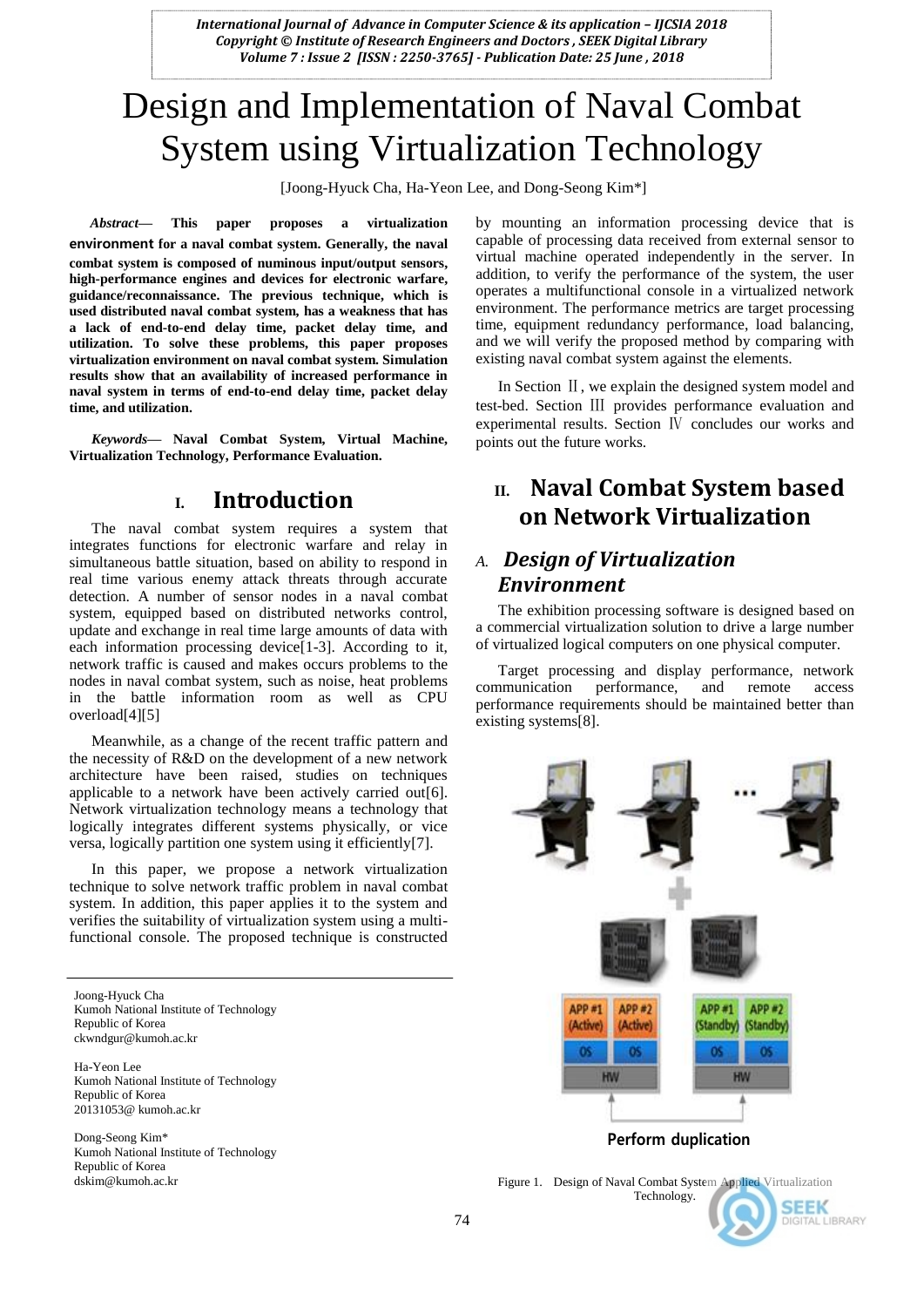# Design and Implementation of Naval Combat System using Virtualization Technology

[Joong-Hyuck Cha, Ha-Yeon Lee, and Dong-Seong Kim\*]

*Abstract***— This paper proposes a virtualization environment for a naval combat system. Generally, the naval combat system is composed of numinous input/output sensors, high-performance engines and devices for electronic warfare, guidance/reconnaissance. The previous technique, which is used distributed naval combat system, has a weakness that has a lack of end-to-end delay time, packet delay time, and utilization. To solve these problems, this paper proposes virtualization environment on naval combat system. Simulation results show that an availability of increased performance in naval system in terms of end-to-end delay time, packet delay time, and utilization.**

*Keywords—* **Naval Combat System, Virtual Machine, Virtualization Technology, Performance Evaluation.**

## **I. Introduction**

The naval combat system requires a system that integrates functions for electronic warfare and relay in simultaneous battle situation, based on ability to respond in real time various enemy attack threats through accurate detection. A number of sensor nodes in a naval combat system, equipped based on distributed networks control, update and exchange in real time large amounts of data with each information processing device[1-3]. According to it, network traffic is caused and makes occurs problems to the nodes in naval combat system, such as noise, heat problems in the battle information room as well as CPU overload[4][5]

Meanwhile, as a change of the recent traffic pattern and the necessity of R&D on the development of a new network architecture have been raised, studies on techniques applicable to a network have been actively carried out[6]. Network virtualization technology means a technology that logically integrates different systems physically, or vice versa, logically partition one system using it efficiently[7].

In this paper, we propose a network virtualization technique to solve network traffic problem in naval combat system. In addition, this paper applies it to the system and verifies the suitability of virtualization system using a multifunctional console. The proposed technique is constructed

Joong-Hyuck Cha Kumoh National Institute of Technology Republic of Korea ckwndgur@kumoh.ac.kr

Ha-Yeon Lee Kumoh National Institute of Technology Republic of Korea 20131053@ kumoh.ac.kr

Dong-Seong Kim\* Kumoh National Institute of Technology Republic of Korea dskim@kumoh.ac.kr

by mounting an information processing device that is capable of processing data received from external sensor to virtual machine operated independently in the server. In addition, to verify the performance of the system, the user operates a multifunctional console in a virtualized network environment. The performance metrics are target processing time, equipment redundancy performance, load balancing, and we will verify the proposed method by comparing with existing naval combat system against the elements.

In Section II, we explain the designed system model and test-bed. Section Ⅲ provides performance evaluation and experimental results. Section Ⅳ concludes our works and points out the future works.

# **II. Naval Combat System based on Network Virtualization**

# *A. Design of Virtualization Environment*

The exhibition processing software is designed based on a commercial virtualization solution to drive a large number of virtualized logical computers on one physical computer.

Target processing and display performance, network communication performance, and remote access performance requirements should be maintained better than existing systems[8].



Figure 1. Design of Naval Combat System Applied Virtualization Technology.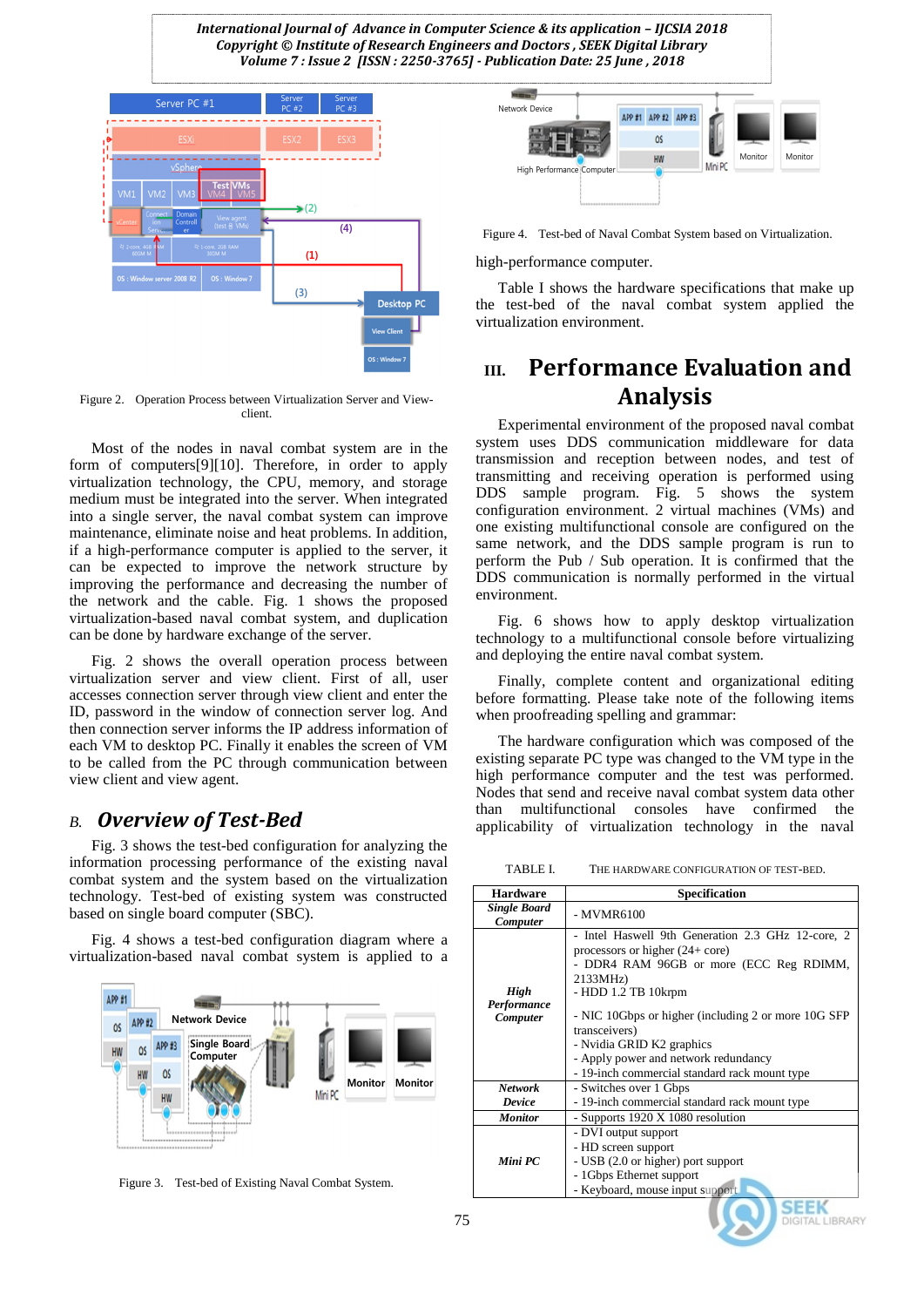

Figure 2. Operation Process between Virtualization Server and Viewclient.

Most of the nodes in naval combat system are in the form of computers[9][10]. Therefore, in order to apply virtualization technology, the CPU, memory, and storage medium must be integrated into the server. When integrated into a single server, the naval combat system can improve maintenance, eliminate noise and heat problems. In addition, if a high-performance computer is applied to the server, it can be expected to improve the network structure by improving the performance and decreasing the number of the network and the cable. Fig. 1 shows the proposed virtualization-based naval combat system, and duplication can be done by hardware exchange of the server.

Fig. 2 shows the overall operation process between virtualization server and view client. First of all, user accesses connection server through view client and enter the ID, password in the window of connection server log. And then connection server informs the IP address information of each VM to desktop PC. Finally it enables the screen of VM to be called from the PC through communication between view client and view agent.

### *B. Overview of Test-Bed*

Fig. 3 shows the test-bed configuration for analyzing the information processing performance of the existing naval combat system and the system based on the virtualization technology. Test-bed of existing system was constructed based on single board computer (SBC).

Fig. 4 shows a test-bed configuration diagram where a virtualization-based naval combat system is applied to a



Figure 3. Test-bed of Existing Naval Combat System.



Figure 4. Test-bed of Naval Combat System based on Virtualization.

high-performance computer.

Table I shows the hardware specifications that make up the test-bed of the naval combat system applied the virtualization environment.

# **III. Performance Evaluation and Analysis**

Experimental environment of the proposed naval combat system uses DDS communication middleware for data transmission and reception between nodes, and test of transmitting and receiving operation is performed using DDS sample program. Fig. 5 shows the system configuration environment. 2 virtual machines (VMs) and one existing multifunctional console are configured on the same network, and the DDS sample program is run to perform the Pub / Sub operation. It is confirmed that the DDS communication is normally performed in the virtual environment.

Fig. 6 shows how to apply desktop virtualization technology to a multifunctional console before virtualizing and deploying the entire naval combat system.

Finally, complete content and organizational editing before formatting. Please take note of the following items when proofreading spelling and grammar:

The hardware configuration which was composed of the existing separate PC type was changed to the VM type in the high performance computer and the test was performed. Nodes that send and receive naval combat system data other than multifunctional consoles have confirmed the applicability of virtualization technology in the naval

TABLE I. THE HARDWARE CONFIGURATION OF TEST-BED.

| <b>Hardware</b>                 | Specification                                                                                                                                                                                                                                                                                                                                                               |
|---------------------------------|-----------------------------------------------------------------------------------------------------------------------------------------------------------------------------------------------------------------------------------------------------------------------------------------------------------------------------------------------------------------------------|
| <b>Single Board</b><br>Computer | - MVMR6100                                                                                                                                                                                                                                                                                                                                                                  |
| High<br>Performance<br>Computer | - Intel Haswell 9th Generation 2.3 GHz 12-core, 2<br>processors or higher $(24 + \text{core})$<br>- DDR4 RAM 96GB or more (ECC Reg RDIMM,<br>2133MHz)<br>- HDD 1.2 TB 10krpm<br>- NIC 10Gbps or higher (including 2 or more 10G SFP)<br>transceivers)<br>- Nvidia GRID K2 graphics<br>- Apply power and network redundancy<br>- 19-inch commercial standard rack mount type |
| <b>Network</b>                  | - Switches over 1 Gbps                                                                                                                                                                                                                                                                                                                                                      |
| Device                          | - 19-inch commercial standard rack mount type                                                                                                                                                                                                                                                                                                                               |
| <b>Monitor</b>                  | - Supports 1920 X 1080 resolution                                                                                                                                                                                                                                                                                                                                           |
| Mini PC                         | - DVI output support<br>- HD screen support<br>- USB (2.0 or higher) port support<br>- 1 Gbps Ethernet support<br>- Keyboard, mouse input support                                                                                                                                                                                                                           |
|                                 |                                                                                                                                                                                                                                                                                                                                                                             |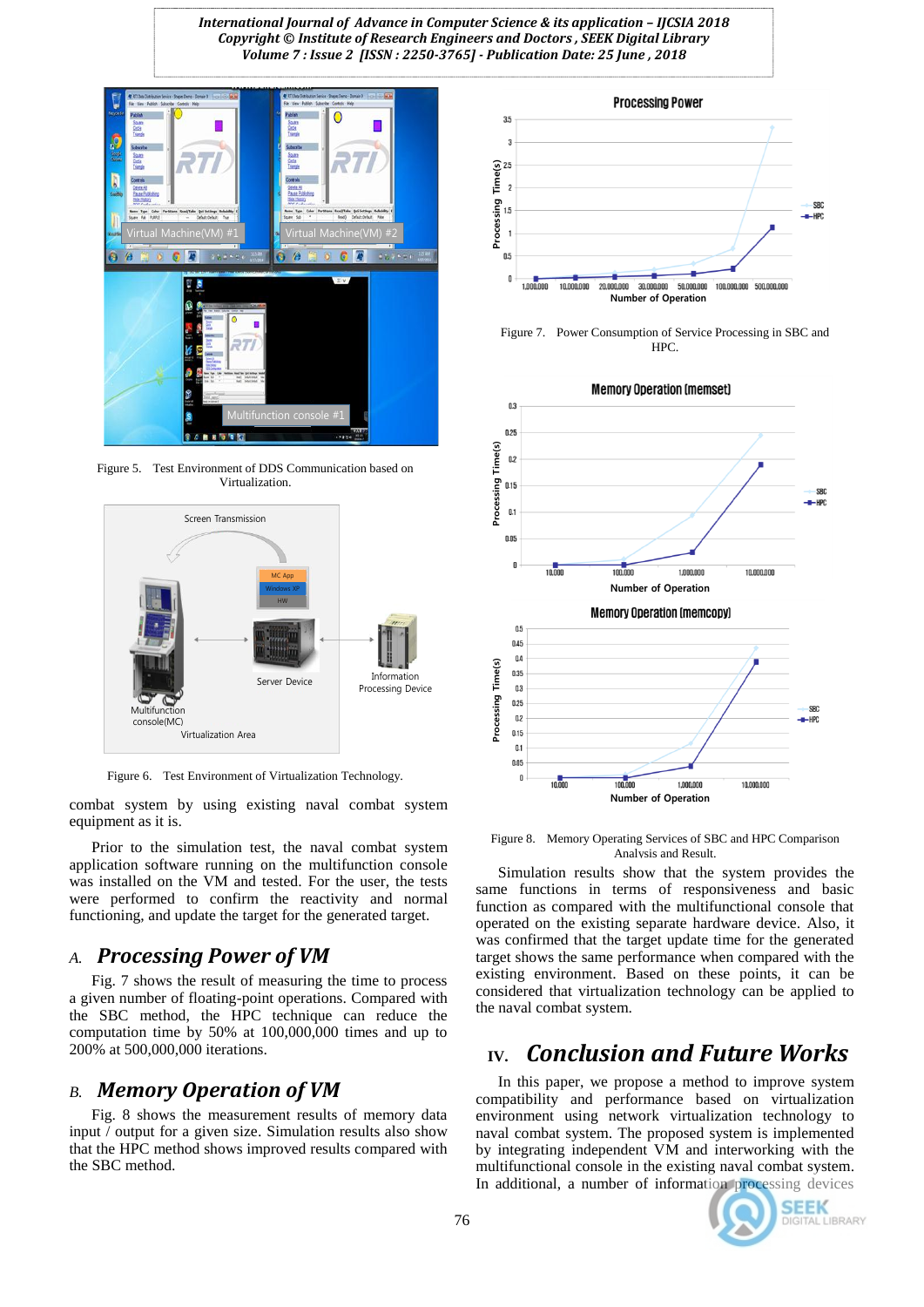

Figure 5. Test Environment of DDS Communication based on Virtualization.



Figure 6. Test Environment of Virtualization Technology.

combat system by using existing naval combat system equipment as it is.

Prior to the simulation test, the naval combat system application software running on the multifunction console was installed on the VM and tested. For the user, the tests were performed to confirm the reactivity and normal functioning, and update the target for the generated target.

### *A. Processing Power of VM*

Fig. 7 shows the result of measuring the time to process a given number of floating-point operations. Compared with the SBC method, the HPC technique can reduce the computation time by 50% at 100,000,000 times and up to 200% at 500,000,000 iterations.

### *B. Memory Operation of VM*

Fig. 8 shows the measurement results of memory data input / output for a given size. Simulation results also show that the HPC method shows improved results compared with the SBC method.



Figure 7. Power Consumption of Service Processing in SBC and HPC.



Figure 8. Memory Operating Services of SBC and HPC Comparison Analysis and Result.

Simulation results show that the system provides the same functions in terms of responsiveness and basic function as compared with the multifunctional console that operated on the existing separate hardware device. Also, it was confirmed that the target update time for the generated target shows the same performance when compared with the existing environment. Based on these points, it can be considered that virtualization technology can be applied to the naval combat system.

# **IV.** *Conclusion and Future Works*

In this paper, we propose a method to improve system compatibility and performance based on virtualization environment using network virtualization technology to naval combat system. The proposed system is implemented by integrating independent VM and interworking with the multifunctional console in the existing naval combat system. In additional, a number of information processing devices